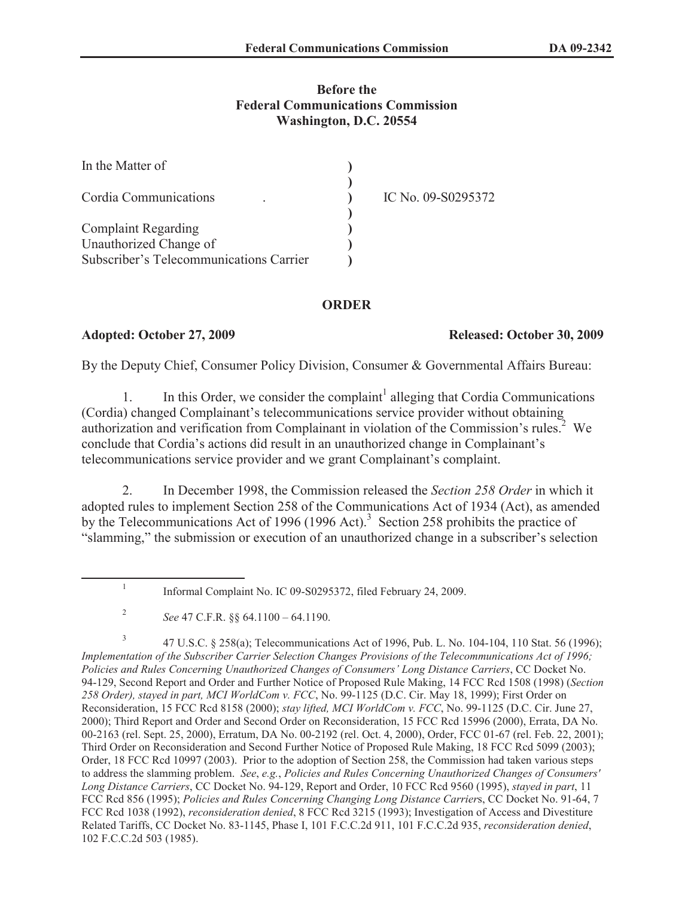# **Before the Federal Communications Commission Washington, D.C. 20554**

| In the Matter of                                                  |                    |
|-------------------------------------------------------------------|--------------------|
| Cordia Communications                                             | IC No. 09-S0295372 |
| <b>Complaint Regarding</b>                                        |                    |
| Unauthorized Change of<br>Subscriber's Telecommunications Carrier |                    |

## **ORDER**

1

### **Adopted: October 27, 2009 Released: October 30, 2009**

By the Deputy Chief, Consumer Policy Division, Consumer & Governmental Affairs Bureau:

1. In this Order, we consider the complaint<sup>1</sup> alleging that Cordia Communications (Cordia) changed Complainant's telecommunications service provider without obtaining authorization and verification from Complainant in violation of the Commission's rules.<sup>2</sup> We conclude that Cordia's actions did result in an unauthorized change in Complainant's telecommunications service provider and we grant Complainant's complaint.

2. In December 1998, the Commission released the *Section 258 Order* in which it adopted rules to implement Section 258 of the Communications Act of 1934 (Act), as amended by the Telecommunications Act of 1996 (1996 Act).<sup>3</sup> Section 258 prohibits the practice of "slamming," the submission or execution of an unauthorized change in a subscriber's selection

Informal Complaint No. IC 09-S0295372, filed February 24, 2009.

3 47 U.S.C. § 258(a); Telecommunications Act of 1996, Pub. L. No. 104-104, 110 Stat. 56 (1996); *Implementation of the Subscriber Carrier Selection Changes Provisions of the Telecommunications Act of 1996; Policies and Rules Concerning Unauthorized Changes of Consumers' Long Distance Carriers*, CC Docket No. 94-129, Second Report and Order and Further Notice of Proposed Rule Making, 14 FCC Rcd 1508 (1998) (*Section 258 Order), stayed in part, MCI WorldCom v. FCC*, No. 99-1125 (D.C. Cir. May 18, 1999); First Order on Reconsideration, 15 FCC Rcd 8158 (2000); *stay lifted, MCI WorldCom v. FCC*, No. 99-1125 (D.C. Cir. June 27, 2000); Third Report and Order and Second Order on Reconsideration, 15 FCC Rcd 15996 (2000), Errata, DA No. 00-2163 (rel. Sept. 25, 2000), Erratum, DA No. 00-2192 (rel. Oct. 4, 2000), Order, FCC 01-67 (rel. Feb. 22, 2001); Third Order on Reconsideration and Second Further Notice of Proposed Rule Making, 18 FCC Rcd 5099 (2003); Order, 18 FCC Rcd 10997 (2003). Prior to the adoption of Section 258, the Commission had taken various steps to address the slamming problem. *See*, *e.g.*, *Policies and Rules Concerning Unauthorized Changes of Consumers' Long Distance Carriers*, CC Docket No. 94-129, Report and Order, 10 FCC Rcd 9560 (1995), *stayed in part*, 11 FCC Rcd 856 (1995); *Policies and Rules Concerning Changing Long Distance Carrier*s, CC Docket No. 91-64, 7 FCC Rcd 1038 (1992), *reconsideration denied*, 8 FCC Rcd 3215 (1993); Investigation of Access and Divestiture Related Tariffs, CC Docket No. 83-1145, Phase I, 101 F.C.C.2d 911, 101 F.C.C.2d 935, *reconsideration denied*, 102 F.C.C.2d 503 (1985).

<sup>2</sup> *See* 47 C.F.R. §§ 64.1100 – 64.1190.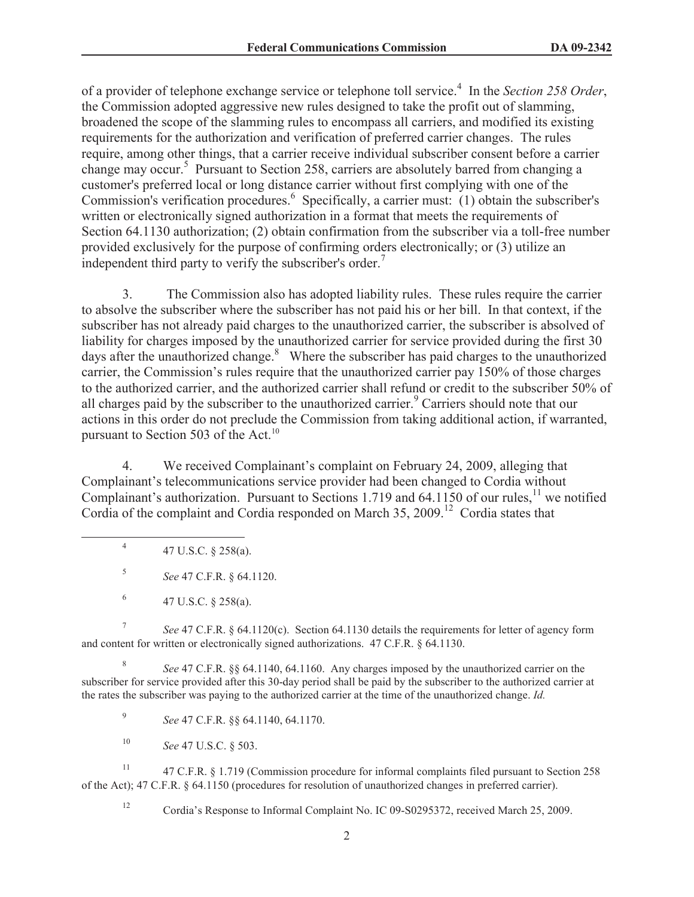of a provider of telephone exchange service or telephone toll service.<sup>4</sup> In the *Section 258 Order*, the Commission adopted aggressive new rules designed to take the profit out of slamming, broadened the scope of the slamming rules to encompass all carriers, and modified its existing requirements for the authorization and verification of preferred carrier changes. The rules require, among other things, that a carrier receive individual subscriber consent before a carrier change may occur.<sup>5</sup> Pursuant to Section 258, carriers are absolutely barred from changing a customer's preferred local or long distance carrier without first complying with one of the Commission's verification procedures.<sup>6</sup> Specifically, a carrier must: (1) obtain the subscriber's written or electronically signed authorization in a format that meets the requirements of Section 64.1130 authorization; (2) obtain confirmation from the subscriber via a toll-free number provided exclusively for the purpose of confirming orders electronically; or (3) utilize an independent third party to verify the subscriber's order.<sup>7</sup>

3. The Commission also has adopted liability rules. These rules require the carrier to absolve the subscriber where the subscriber has not paid his or her bill. In that context, if the subscriber has not already paid charges to the unauthorized carrier, the subscriber is absolved of liability for charges imposed by the unauthorized carrier for service provided during the first 30 days after the unauthorized change.<sup>8</sup> Where the subscriber has paid charges to the unauthorized carrier, the Commission's rules require that the unauthorized carrier pay 150% of those charges to the authorized carrier, and the authorized carrier shall refund or credit to the subscriber 50% of all charges paid by the subscriber to the unauthorized carrier.<sup>9</sup> Carriers should note that our actions in this order do not preclude the Commission from taking additional action, if warranted, pursuant to Section 503 of the Act.<sup>10</sup>

4. We received Complainant's complaint on February 24, 2009, alleging that Complainant's telecommunications service provider had been changed to Cordia without Complainant's authorization. Pursuant to Sections 1.719 and 64.1150 of our rules,<sup>11</sup> we notified Cordia of the complaint and Cordia responded on March 35, 2009.<sup>12</sup> Cordia states that

4 47 U.S.C. § 258(a).

5 *See* 47 C.F.R. § 64.1120.

6 47 U.S.C. § 258(a).

7 *See* 47 C.F.R. § 64.1120(c). Section 64.1130 details the requirements for letter of agency form and content for written or electronically signed authorizations. 47 C.F.R. § 64.1130.

8 *See* 47 C.F.R. §§ 64.1140, 64.1160. Any charges imposed by the unauthorized carrier on the subscriber for service provided after this 30-day period shall be paid by the subscriber to the authorized carrier at the rates the subscriber was paying to the authorized carrier at the time of the unauthorized change. *Id.*

9 *See* 47 C.F.R. §§ 64.1140, 64.1170.

<sup>10</sup> *See* 47 U.S.C. § 503.

<sup>11</sup> 47 C.F.R. § 1.719 (Commission procedure for informal complaints filed pursuant to Section 258 of the Act); 47 C.F.R. § 64.1150 (procedures for resolution of unauthorized changes in preferred carrier).

<sup>12</sup> Cordia's Response to Informal Complaint No. IC 09-S0295372, received March 25, 2009.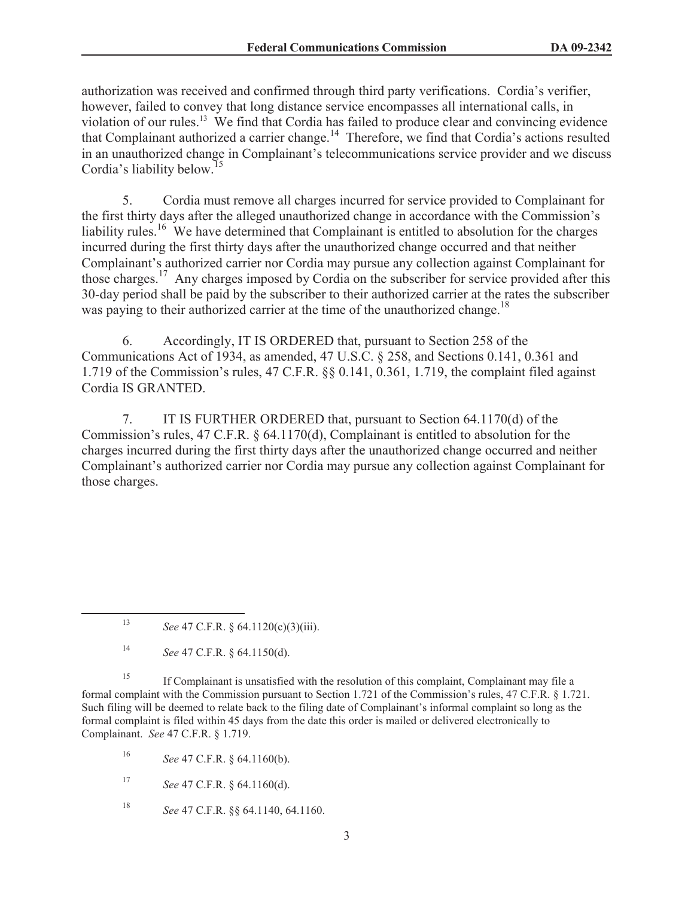authorization was received and confirmed through third party verifications. Cordia's verifier, however, failed to convey that long distance service encompasses all international calls, in violation of our rules.<sup>13</sup> We find that Cordia has failed to produce clear and convincing evidence that Complainant authorized a carrier change.<sup>14</sup> Therefore, we find that Cordia's actions resulted in an unauthorized change in Complainant's telecommunications service provider and we discuss Cordia's liability below.<sup>15</sup>

5. Cordia must remove all charges incurred for service provided to Complainant for the first thirty days after the alleged unauthorized change in accordance with the Commission's liability rules.<sup>16</sup> We have determined that Complainant is entitled to absolution for the charges incurred during the first thirty days after the unauthorized change occurred and that neither Complainant's authorized carrier nor Cordia may pursue any collection against Complainant for those charges.<sup>17</sup> Any charges imposed by Cordia on the subscriber for service provided after this 30-day period shall be paid by the subscriber to their authorized carrier at the rates the subscriber was paying to their authorized carrier at the time of the unauthorized change.<sup>18</sup>

6. Accordingly, IT IS ORDERED that, pursuant to Section 258 of the Communications Act of 1934, as amended, 47 U.S.C. § 258, and Sections 0.141, 0.361 and 1.719 of the Commission's rules, 47 C.F.R. §§ 0.141, 0.361, 1.719, the complaint filed against Cordia IS GRANTED.

7. IT IS FURTHER ORDERED that, pursuant to Section 64.1170(d) of the Commission's rules, 47 C.F.R. § 64.1170(d), Complainant is entitled to absolution for the charges incurred during the first thirty days after the unauthorized change occurred and neither Complainant's authorized carrier nor Cordia may pursue any collection against Complainant for those charges.

<sup>15</sup> If Complainant is unsatisfied with the resolution of this complaint, Complainant may file a formal complaint with the Commission pursuant to Section 1.721 of the Commission's rules, 47 C.F.R. § 1.721. Such filing will be deemed to relate back to the filing date of Complainant's informal complaint so long as the formal complaint is filed within 45 days from the date this order is mailed or delivered electronically to Complainant. *See* 47 C.F.R. § 1.719.

<sup>16</sup> *See* 47 C.F.R. § 64.1160(b).

<sup>17</sup> *See* 47 C.F.R. § 64.1160(d).

<sup>18</sup> *See* 47 C.F.R. §§ 64.1140, 64.1160.

<sup>13</sup> *See* 47 C.F.R. § 64.1120(c)(3)(iii).

<sup>14</sup> *See* 47 C.F.R. § 64.1150(d).